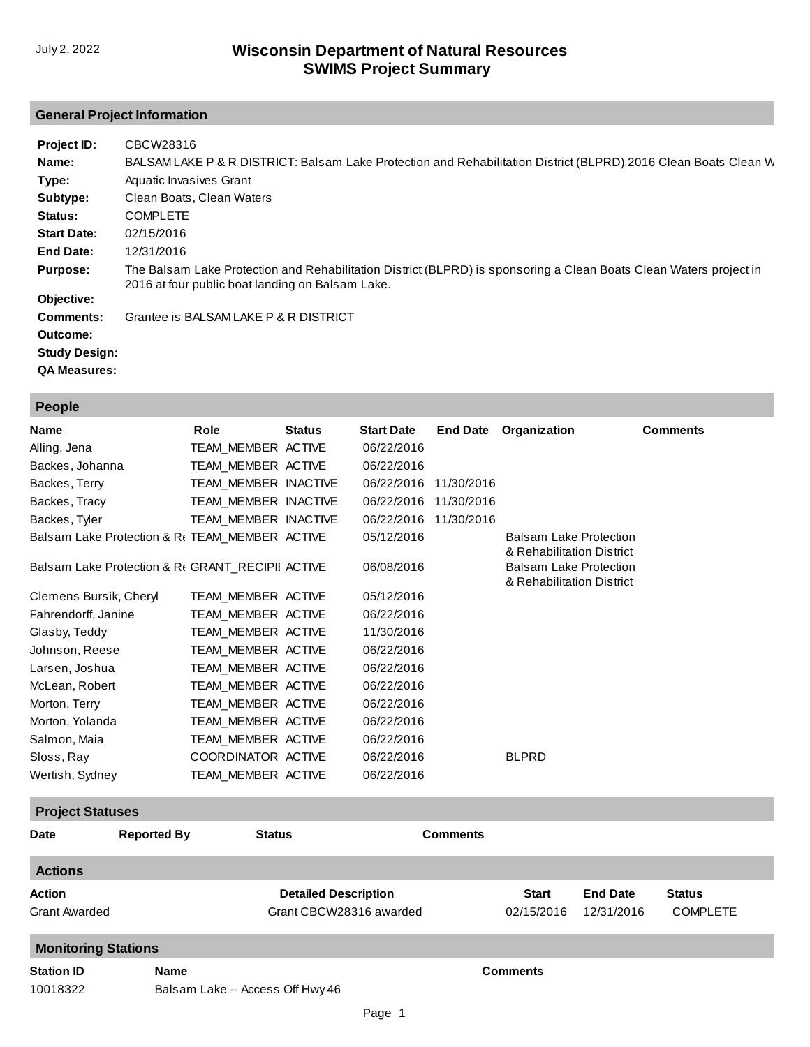# **General Project Information**

| Project ID:          | CBCW28316                                                                                                                                                              |
|----------------------|------------------------------------------------------------------------------------------------------------------------------------------------------------------------|
| Name:                | BALSAM LAKE P & R DISTRICT: Balsam Lake Protection and Rehabilitation District (BLPRD) 2016 Clean Boats Clean W                                                        |
| Type:                | Aquatic Invasives Grant                                                                                                                                                |
| Subtype:             | Clean Boats, Clean Waters                                                                                                                                              |
| Status:              | <b>COMPLETE</b>                                                                                                                                                        |
| <b>Start Date:</b>   | 02/15/2016                                                                                                                                                             |
| End Date:            | 12/31/2016                                                                                                                                                             |
| <b>Purpose:</b>      | The Balsam Lake Protection and Rehabilitation District (BLPRD) is sponsoring a Clean Boats Clean Waters project in<br>2016 at four public boat landing on Balsam Lake. |
| Objective:           |                                                                                                                                                                        |
| Comments:            | Grantee is BALSAM LAKE P & R DISTRICT                                                                                                                                  |
| Outcome:             |                                                                                                                                                                        |
| <b>Study Design:</b> |                                                                                                                                                                        |
| <b>QA Measures:</b>  |                                                                                                                                                                        |

| <b>Name</b>            |                         | Role                                             | <b>Status</b> | <b>Start Date</b> | <b>End Date</b> | Organization                                               | <b>Comments</b> |  |
|------------------------|-------------------------|--------------------------------------------------|---------------|-------------------|-----------------|------------------------------------------------------------|-----------------|--|
| Alling, Jena           |                         | TEAM MEMBER ACTIVE                               |               | 06/22/2016        |                 |                                                            |                 |  |
| Backes, Johanna        |                         | TEAM MEMBER ACTIVE                               |               | 06/22/2016        |                 |                                                            |                 |  |
| Backes, Terry          |                         | TEAM_MEMBER INACTIVE                             |               | 06/22/2016        | 11/30/2016      |                                                            |                 |  |
| Backes, Tracy          |                         | TEAM MEMBER INACTIVE                             |               | 06/22/2016        | 11/30/2016      |                                                            |                 |  |
| Backes, Tyler          |                         | TEAM MEMBER INACTIVE                             |               | 06/22/2016        | 11/30/2016      |                                                            |                 |  |
|                        |                         | Balsam Lake Protection & R( TEAM_MEMBER ACTIVE   |               | 05/12/2016        |                 | <b>Balsam Lake Protection</b><br>& Rehabilitation District |                 |  |
|                        |                         | Balsam Lake Protection & R( GRANT_RECIPII ACTIVE |               | 06/08/2016        |                 | <b>Balsam Lake Protection</b><br>& Rehabilitation District |                 |  |
| Clemens Bursik, Cheryl |                         | TEAM MEMBER ACTIVE                               |               | 05/12/2016        |                 |                                                            |                 |  |
| Fahrendorff, Janine    |                         | TEAM MEMBER ACTIVE                               |               | 06/22/2016        |                 |                                                            |                 |  |
| Glasby, Teddy          |                         | TEAM MEMBER ACTIVE                               |               | 11/30/2016        |                 |                                                            |                 |  |
| Johnson, Reese         |                         | TEAM_MEMBER ACTIVE                               |               | 06/22/2016        |                 |                                                            |                 |  |
| Larsen, Joshua         |                         | TEAM MEMBER ACTIVE                               |               | 06/22/2016        |                 |                                                            |                 |  |
| McLean, Robert         |                         | TEAM MEMBER ACTIVE                               |               | 06/22/2016        |                 |                                                            |                 |  |
| Morton, Terry          |                         | TEAM MEMBER ACTIVE                               |               | 06/22/2016        |                 |                                                            |                 |  |
| Morton, Yolanda        |                         | TEAM MEMBER ACTIVE                               |               | 06/22/2016        |                 |                                                            |                 |  |
| Salmon, Maia           |                         | TEAM MEMBER ACTIVE                               |               | 06/22/2016        |                 |                                                            |                 |  |
| Sloss, Ray             |                         | COORDINATOR ACTIVE                               |               | 06/22/2016        |                 | <b>BLPRD</b>                                               |                 |  |
| Wertish, Sydney        |                         | TEAM_MEMBER ACTIVE                               |               | 06/22/2016        |                 |                                                            |                 |  |
|                        | <b>Project Statuses</b> |                                                  |               |                   |                 |                                                            |                 |  |
| Date                   | <b>Reported By</b>      | <b>Status</b>                                    |               |                   | <b>Comments</b> |                                                            |                 |  |

| <b>Date</b>                    | <b>Reported By</b> | <b>Status</b>                                          | <b>Comments</b> |                            |                               |                                  |  |
|--------------------------------|--------------------|--------------------------------------------------------|-----------------|----------------------------|-------------------------------|----------------------------------|--|
| <b>Actions</b>                 |                    |                                                        |                 |                            |                               |                                  |  |
| Action<br><b>Grant Awarded</b> |                    | <b>Detailed Description</b><br>Grant CBCW28316 awarded |                 | <b>Start</b><br>02/15/2016 | <b>End Date</b><br>12/31/2016 | <b>Status</b><br><b>COMPLETE</b> |  |
| <b>Monitoring Stations</b>     |                    |                                                        |                 |                            |                               |                                  |  |
| <b>Station ID</b><br>10018322  | <b>Name</b>        | Balsam Lake -- Access Off Hwy 46                       |                 | <b>Comments</b>            |                               |                                  |  |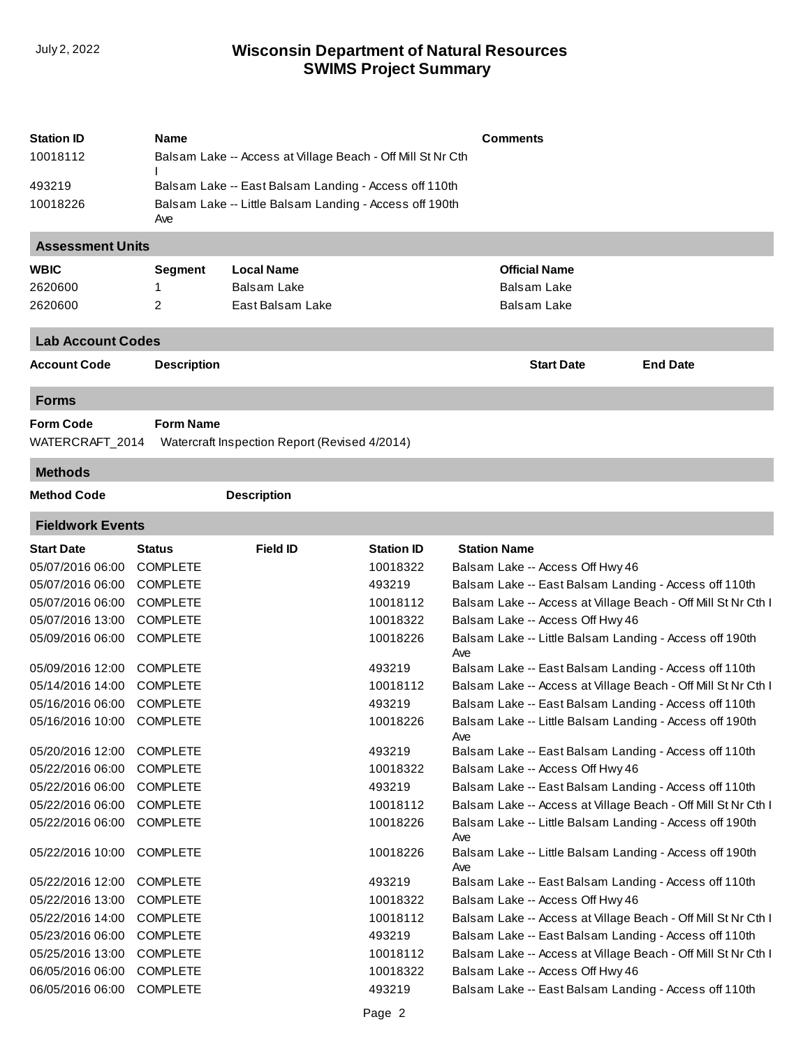| <b>Station ID</b>         | Name                                                           |                                               |                   | <b>Comments</b>                                                |                                                               |  |  |  |
|---------------------------|----------------------------------------------------------------|-----------------------------------------------|-------------------|----------------------------------------------------------------|---------------------------------------------------------------|--|--|--|
| 10018112                  | Balsam Lake -- Access at Village Beach - Off Mill St Nr Cth    |                                               |                   |                                                                |                                                               |  |  |  |
| 493219                    | Balsam Lake -- East Balsam Landing - Access off 110th          |                                               |                   |                                                                |                                                               |  |  |  |
| 10018226                  | Balsam Lake -- Little Balsam Landing - Access off 190th<br>Ave |                                               |                   |                                                                |                                                               |  |  |  |
| <b>Assessment Units</b>   |                                                                |                                               |                   |                                                                |                                                               |  |  |  |
| <b>WBIC</b>               | <b>Segment</b>                                                 | <b>Local Name</b>                             |                   | <b>Official Name</b>                                           |                                                               |  |  |  |
| 2620600                   | 1                                                              | <b>Balsam Lake</b>                            |                   | <b>Balsam Lake</b>                                             |                                                               |  |  |  |
| 2620600                   | $\overline{2}$                                                 | East Balsam Lake                              |                   | <b>Balsam Lake</b>                                             |                                                               |  |  |  |
| <b>Lab Account Codes</b>  |                                                                |                                               |                   |                                                                |                                                               |  |  |  |
| <b>Account Code</b>       | <b>Description</b>                                             |                                               |                   | <b>Start Date</b>                                              | <b>End Date</b>                                               |  |  |  |
| <b>Forms</b>              |                                                                |                                               |                   |                                                                |                                                               |  |  |  |
| <b>Form Code</b>          | <b>Form Name</b>                                               |                                               |                   |                                                                |                                                               |  |  |  |
| WATERCRAFT_2014           |                                                                | Watercraft Inspection Report (Revised 4/2014) |                   |                                                                |                                                               |  |  |  |
| <b>Methods</b>            |                                                                |                                               |                   |                                                                |                                                               |  |  |  |
| <b>Method Code</b>        |                                                                | <b>Description</b>                            |                   |                                                                |                                                               |  |  |  |
| <b>Fieldwork Events</b>   |                                                                |                                               |                   |                                                                |                                                               |  |  |  |
| <b>Start Date</b>         | <b>Status</b>                                                  | <b>Field ID</b>                               | <b>Station ID</b> | <b>Station Name</b>                                            |                                                               |  |  |  |
| 05/07/2016 06:00          | <b>COMPLETE</b>                                                |                                               | 10018322          | Balsam Lake -- Access Off Hwy 46                               |                                                               |  |  |  |
| 05/07/2016 06:00          | <b>COMPLETE</b>                                                |                                               | 493219            | Balsam Lake -- East Balsam Landing - Access off 110th          |                                                               |  |  |  |
| 05/07/2016 06:00          | <b>COMPLETE</b>                                                |                                               | 10018112          |                                                                | Balsam Lake -- Access at Village Beach - Off Mill St Nr Cth I |  |  |  |
| 05/07/2016 13:00          | <b>COMPLETE</b>                                                |                                               | 10018322          | Balsam Lake -- Access Off Hwy 46                               |                                                               |  |  |  |
| 05/09/2016 06:00          | <b>COMPLETE</b>                                                |                                               | 10018226          | Balsam Lake -- Little Balsam Landing - Access off 190th<br>Ave |                                                               |  |  |  |
| 05/09/2016 12:00          | <b>COMPLETE</b>                                                |                                               | 493219            | Balsam Lake -- East Balsam Landing - Access off 110th          |                                                               |  |  |  |
| 05/14/2016 14:00          | <b>COMPLETE</b>                                                |                                               | 10018112          |                                                                | Balsam Lake -- Access at Village Beach - Off Mill St Nr Cth I |  |  |  |
| 05/16/2016 06:00          | <b>COMPLETE</b>                                                |                                               | 493219            | Balsam Lake -- East Balsam Landing - Access off 110th          |                                                               |  |  |  |
| 05/16/2016 10:00 COMPLETE |                                                                |                                               | 10018226          | Balsam Lake -- Little Balsam Landing - Access off 190th<br>Ave |                                                               |  |  |  |
| 05/20/2016 12:00          | <b>COMPLETE</b>                                                |                                               | 493219            | Balsam Lake -- East Balsam Landing - Access off 110th          |                                                               |  |  |  |
| 05/22/2016 06:00          | <b>COMPLETE</b>                                                |                                               | 10018322          | Balsam Lake -- Access Off Hwy 46                               |                                                               |  |  |  |
| 05/22/2016 06:00          | <b>COMPLETE</b>                                                |                                               | 493219            | Balsam Lake -- East Balsam Landing - Access off 110th          |                                                               |  |  |  |
| 05/22/2016 06:00          | <b>COMPLETE</b>                                                |                                               | 10018112          |                                                                | Balsam Lake -- Access at Village Beach - Off Mill St Nr Cth I |  |  |  |
| 05/22/2016 06:00          | <b>COMPLETE</b>                                                |                                               | 10018226          | Balsam Lake -- Little Balsam Landing - Access off 190th<br>Ave |                                                               |  |  |  |
| 05/22/2016 10:00          | <b>COMPLETE</b>                                                |                                               | 10018226          | Balsam Lake -- Little Balsam Landing - Access off 190th<br>Ave |                                                               |  |  |  |
| 05/22/2016 12:00          | <b>COMPLETE</b>                                                |                                               | 493219            | Balsam Lake -- East Balsam Landing - Access off 110th          |                                                               |  |  |  |
| 05/22/2016 13:00          | <b>COMPLETE</b>                                                |                                               | 10018322          | Balsam Lake -- Access Off Hwy 46                               |                                                               |  |  |  |
| 05/22/2016 14:00          | <b>COMPLETE</b>                                                |                                               | 10018112          |                                                                | Balsam Lake -- Access at Village Beach - Off Mill St Nr Cth I |  |  |  |
| 05/23/2016 06:00          | <b>COMPLETE</b>                                                |                                               | 493219            | Balsam Lake -- East Balsam Landing - Access off 110th          |                                                               |  |  |  |
| 05/25/2016 13:00          | <b>COMPLETE</b>                                                |                                               | 10018112          |                                                                | Balsam Lake -- Access at Village Beach - Off Mill St Nr Cth I |  |  |  |
| 06/05/2016 06:00          | <b>COMPLETE</b>                                                |                                               | 10018322          | Balsam Lake -- Access Off Hwy 46                               |                                                               |  |  |  |
| 06/05/2016 06:00          | <b>COMPLETE</b>                                                |                                               | 493219            | Balsam Lake -- East Balsam Landing - Access off 110th          |                                                               |  |  |  |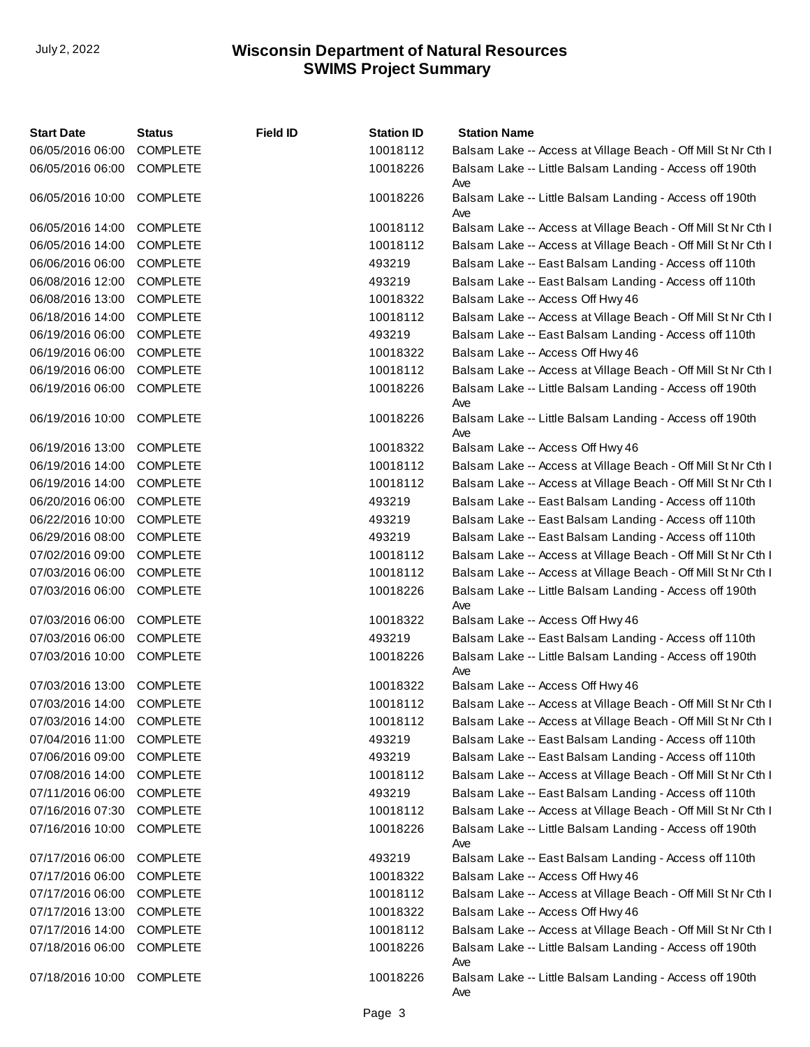| <b>Start Date</b> | Status          | <b>Field ID</b> | <b>Station ID</b> | <b>Station Name</b>                                            |
|-------------------|-----------------|-----------------|-------------------|----------------------------------------------------------------|
| 06/05/2016 06:00  | <b>COMPLETE</b> |                 | 10018112          | Balsam Lake -- Access at Village Beach - Off Mill St Nr Cth I  |
| 06/05/2016 06:00  | <b>COMPLETE</b> |                 | 10018226          | Balsam Lake -- Little Balsam Landing - Access off 190th<br>Ave |
| 06/05/2016 10:00  | <b>COMPLETE</b> |                 | 10018226          | Balsam Lake -- Little Balsam Landing - Access off 190th<br>Ave |
| 06/05/2016 14:00  | <b>COMPLETE</b> |                 | 10018112          | Balsam Lake -- Access at Village Beach - Off Mill St Nr Cth I  |
| 06/05/2016 14:00  | <b>COMPLETE</b> |                 | 10018112          | Balsam Lake -- Access at Village Beach - Off Mill St Nr Cth I  |
| 06/06/2016 06:00  | <b>COMPLETE</b> |                 | 493219            | Balsam Lake -- East Balsam Landing - Access off 110th          |
| 06/08/2016 12:00  | <b>COMPLETE</b> |                 | 493219            | Balsam Lake -- East Balsam Landing - Access off 110th          |
| 06/08/2016 13:00  | <b>COMPLETE</b> |                 | 10018322          | Balsam Lake -- Access Off Hwy 46                               |
| 06/18/2016 14:00  | <b>COMPLETE</b> |                 | 10018112          | Balsam Lake -- Access at Village Beach - Off Mill St Nr Cth I  |
| 06/19/2016 06:00  | <b>COMPLETE</b> |                 | 493219            | Balsam Lake -- East Balsam Landing - Access off 110th          |
| 06/19/2016 06:00  | <b>COMPLETE</b> |                 | 10018322          | Balsam Lake -- Access Off Hwy 46                               |
| 06/19/2016 06:00  | <b>COMPLETE</b> |                 | 10018112          | Balsam Lake -- Access at Village Beach - Off Mill St Nr Cth I  |
| 06/19/2016 06:00  | COMPLETE        |                 | 10018226          | Balsam Lake -- Little Balsam Landing - Access off 190th<br>Ave |
| 06/19/2016 10:00  | <b>COMPLETE</b> |                 | 10018226          | Balsam Lake -- Little Balsam Landing - Access off 190th<br>Ave |
| 06/19/2016 13:00  | <b>COMPLETE</b> |                 | 10018322          | Balsam Lake -- Access Off Hwy 46                               |
| 06/19/2016 14:00  | <b>COMPLETE</b> |                 | 10018112          | Balsam Lake -- Access at Village Beach - Off Mill St Nr Cth I  |
| 06/19/2016 14:00  | <b>COMPLETE</b> |                 | 10018112          | Balsam Lake -- Access at Village Beach - Off Mill St Nr Cth I  |
| 06/20/2016 06:00  | <b>COMPLETE</b> |                 | 493219            | Balsam Lake -- East Balsam Landing - Access off 110th          |
| 06/22/2016 10:00  | <b>COMPLETE</b> |                 | 493219            | Balsam Lake -- East Balsam Landing - Access off 110th          |
| 06/29/2016 08:00  | <b>COMPLETE</b> |                 | 493219            | Balsam Lake -- East Balsam Landing - Access off 110th          |
| 07/02/2016 09:00  | <b>COMPLETE</b> |                 | 10018112          | Balsam Lake -- Access at Village Beach - Off Mill St Nr Cth I  |
| 07/03/2016 06:00  | <b>COMPLETE</b> |                 | 10018112          | Balsam Lake -- Access at Village Beach - Off Mill St Nr Cth I  |
| 07/03/2016 06:00  | <b>COMPLETE</b> |                 | 10018226          | Balsam Lake -- Little Balsam Landing - Access off 190th<br>Ave |
| 07/03/2016 06:00  | <b>COMPLETE</b> |                 | 10018322          | Balsam Lake -- Access Off Hwy 46                               |
| 07/03/2016 06:00  | <b>COMPLETE</b> |                 | 493219            | Balsam Lake -- East Balsam Landing - Access off 110th          |
| 07/03/2016 10:00  | <b>COMPLETE</b> |                 | 10018226          | Balsam Lake -- Little Balsam Landing - Access off 190th<br>Ave |
| 07/03/2016 13:00  | <b>COMPLETE</b> |                 | 10018322          | Balsam Lake -- Access Off Hwy 46                               |
| 07/03/2016 14:00  | <b>COMPLETE</b> |                 | 10018112          | Balsam Lake -- Access at Village Beach - Off Mill St Nr Cth I  |
| 07/03/2016 14:00  | <b>COMPLETE</b> |                 | 10018112          | Balsam Lake -- Access at Village Beach - Off Mill St Nr Cth I  |
| 07/04/2016 11:00  | <b>COMPLETE</b> |                 | 493219            | Balsam Lake -- East Balsam Landing - Access off 110th          |
| 07/06/2016 09:00  | <b>COMPLETE</b> |                 | 493219            | Balsam Lake -- East Balsam Landing - Access off 110th          |
| 07/08/2016 14:00  | <b>COMPLETE</b> |                 | 10018112          | Balsam Lake -- Access at Village Beach - Off Mill St Nr Cth I  |
| 07/11/2016 06:00  | <b>COMPLETE</b> |                 | 493219            | Balsam Lake -- East Balsam Landing - Access off 110th          |
| 07/16/2016 07:30  | <b>COMPLETE</b> |                 | 10018112          | Balsam Lake -- Access at Village Beach - Off Mill St Nr Cth I  |
| 07/16/2016 10:00  | <b>COMPLETE</b> |                 | 10018226          | Balsam Lake -- Little Balsam Landing - Access off 190th<br>Ave |
| 07/17/2016 06:00  | <b>COMPLETE</b> |                 | 493219            | Balsam Lake -- East Balsam Landing - Access off 110th          |
| 07/17/2016 06:00  | <b>COMPLETE</b> |                 | 10018322          | Balsam Lake -- Access Off Hwy 46                               |
| 07/17/2016 06:00  | <b>COMPLETE</b> |                 | 10018112          | Balsam Lake -- Access at Village Beach - Off Mill St Nr Cth I  |
| 07/17/2016 13:00  | <b>COMPLETE</b> |                 | 10018322          | Balsam Lake -- Access Off Hwy 46                               |
| 07/17/2016 14:00  | <b>COMPLETE</b> |                 | 10018112          | Balsam Lake -- Access at Village Beach - Off Mill St Nr Cth I  |
| 07/18/2016 06:00  | <b>COMPLETE</b> |                 | 10018226          | Balsam Lake -- Little Balsam Landing - Access off 190th<br>Ave |
| 07/18/2016 10:00  | <b>COMPLETE</b> |                 | 10018226          | Balsam Lake -- Little Balsam Landing - Access off 190th<br>Ave |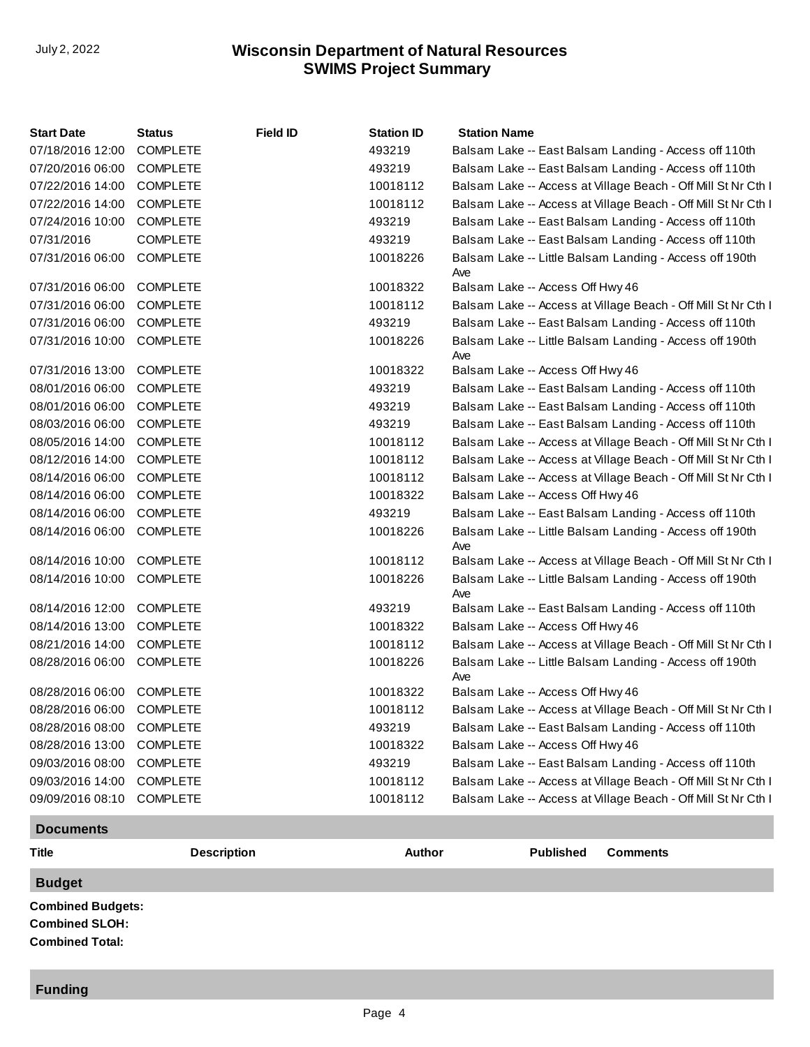| <b>Start Date</b> | <b>Status</b>   | <b>Field ID</b> | <b>Station ID</b> | <b>Station Name</b>                                            |
|-------------------|-----------------|-----------------|-------------------|----------------------------------------------------------------|
| 07/18/2016 12:00  | <b>COMPLETE</b> |                 | 493219            | Balsam Lake -- East Balsam Landing - Access off 110th          |
| 07/20/2016 06:00  | <b>COMPLETE</b> |                 | 493219            | Balsam Lake -- East Balsam Landing - Access off 110th          |
| 07/22/2016 14:00  | <b>COMPLETE</b> |                 | 10018112          | Balsam Lake -- Access at Village Beach - Off Mill St Nr Cth I  |
| 07/22/2016 14:00  | <b>COMPLETE</b> |                 | 10018112          | Balsam Lake -- Access at Village Beach - Off Mill St Nr Cth I  |
| 07/24/2016 10:00  | <b>COMPLETE</b> |                 | 493219            | Balsam Lake -- East Balsam Landing - Access off 110th          |
| 07/31/2016        | <b>COMPLETE</b> |                 | 493219            | Balsam Lake -- East Balsam Landing - Access off 110th          |
| 07/31/2016 06:00  | <b>COMPLETE</b> |                 | 10018226          | Balsam Lake -- Little Balsam Landing - Access off 190th<br>Ave |
| 07/31/2016 06:00  | <b>COMPLETE</b> |                 | 10018322          | Balsam Lake -- Access Off Hwy 46                               |
| 07/31/2016 06:00  | <b>COMPLETE</b> |                 | 10018112          | Balsam Lake -- Access at Village Beach - Off Mill St Nr Cth I  |
| 07/31/2016 06:00  | <b>COMPLETE</b> |                 | 493219            | Balsam Lake -- East Balsam Landing - Access off 110th          |
| 07/31/2016 10:00  | <b>COMPLETE</b> |                 | 10018226          | Balsam Lake -- Little Balsam Landing - Access off 190th<br>Ave |
| 07/31/2016 13:00  | <b>COMPLETE</b> |                 | 10018322          | Balsam Lake -- Access Off Hwy 46                               |
| 08/01/2016 06:00  | <b>COMPLETE</b> |                 | 493219            | Balsam Lake -- East Balsam Landing - Access off 110th          |
| 08/01/2016 06:00  | <b>COMPLETE</b> |                 | 493219            | Balsam Lake -- East Balsam Landing - Access off 110th          |
| 08/03/2016 06:00  | <b>COMPLETE</b> |                 | 493219            | Balsam Lake -- East Balsam Landing - Access off 110th          |
| 08/05/2016 14:00  | <b>COMPLETE</b> |                 | 10018112          | Balsam Lake -- Access at Village Beach - Off Mill St Nr Cth I  |
| 08/12/2016 14:00  | <b>COMPLETE</b> |                 | 10018112          | Balsam Lake -- Access at Village Beach - Off Mill St Nr Cth I  |
| 08/14/2016 06:00  | <b>COMPLETE</b> |                 | 10018112          | Balsam Lake -- Access at Village Beach - Off Mill St Nr Cth I  |
| 08/14/2016 06:00  | <b>COMPLETE</b> |                 | 10018322          | Balsam Lake -- Access Off Hwy 46                               |
| 08/14/2016 06:00  | <b>COMPLETE</b> |                 | 493219            | Balsam Lake -- East Balsam Landing - Access off 110th          |
| 08/14/2016 06:00  | <b>COMPLETE</b> |                 | 10018226          | Balsam Lake -- Little Balsam Landing - Access off 190th<br>Ave |
| 08/14/2016 10:00  | <b>COMPLETE</b> |                 | 10018112          | Balsam Lake -- Access at Village Beach - Off Mill St Nr Cth I  |
| 08/14/2016 10:00  | <b>COMPLETE</b> |                 | 10018226          | Balsam Lake -- Little Balsam Landing - Access off 190th<br>Ave |
| 08/14/2016 12:00  | <b>COMPLETE</b> |                 | 493219            | Balsam Lake -- East Balsam Landing - Access off 110th          |
| 08/14/2016 13:00  | <b>COMPLETE</b> |                 | 10018322          | Balsam Lake -- Access Off Hwy 46                               |
| 08/21/2016 14:00  | <b>COMPLETE</b> |                 | 10018112          | Balsam Lake -- Access at Village Beach - Off Mill St Nr Cth I  |
| 08/28/2016 06:00  | <b>COMPLETE</b> |                 | 10018226          | Balsam Lake -- Little Balsam Landing - Access off 190th<br>Ave |
| 08/28/2016 06:00  | <b>COMPLETE</b> |                 | 10018322          | Balsam Lake -- Access Off Hwy 46                               |
| 08/28/2016 06:00  | <b>COMPLETE</b> |                 | 10018112          | Balsam Lake -- Access at Village Beach - Off Mill St Nr Cth I  |
| 08/28/2016 08:00  | <b>COMPLETE</b> |                 | 493219            | Balsam Lake -- East Balsam Landing - Access off 110th          |
| 08/28/2016 13:00  | <b>COMPLETE</b> |                 | 10018322          | Balsam Lake -- Access Off Hwy 46                               |
| 09/03/2016 08:00  | <b>COMPLETE</b> |                 | 493219            | Balsam Lake -- East Balsam Landing - Access off 110th          |
| 09/03/2016 14:00  | <b>COMPLETE</b> |                 | 10018112          | Balsam Lake -- Access at Village Beach - Off Mill St Nr Cth I  |
| 09/09/2016 08:10  | <b>COMPLETE</b> |                 | 10018112          | Balsam Lake -- Access at Village Beach - Off Mill St Nr Cth I  |

#### **Documents**

| <b>Title</b>                                      | <b>Description</b> | <b>Author</b> | Published | <b>Comments</b> |
|---------------------------------------------------|--------------------|---------------|-----------|-----------------|
| <b>Budget</b>                                     |                    |               |           |                 |
| <b>Combined Budgets:</b><br><b>Combined SLOH:</b> |                    |               |           |                 |

**Combined Total:**

## **Funding**